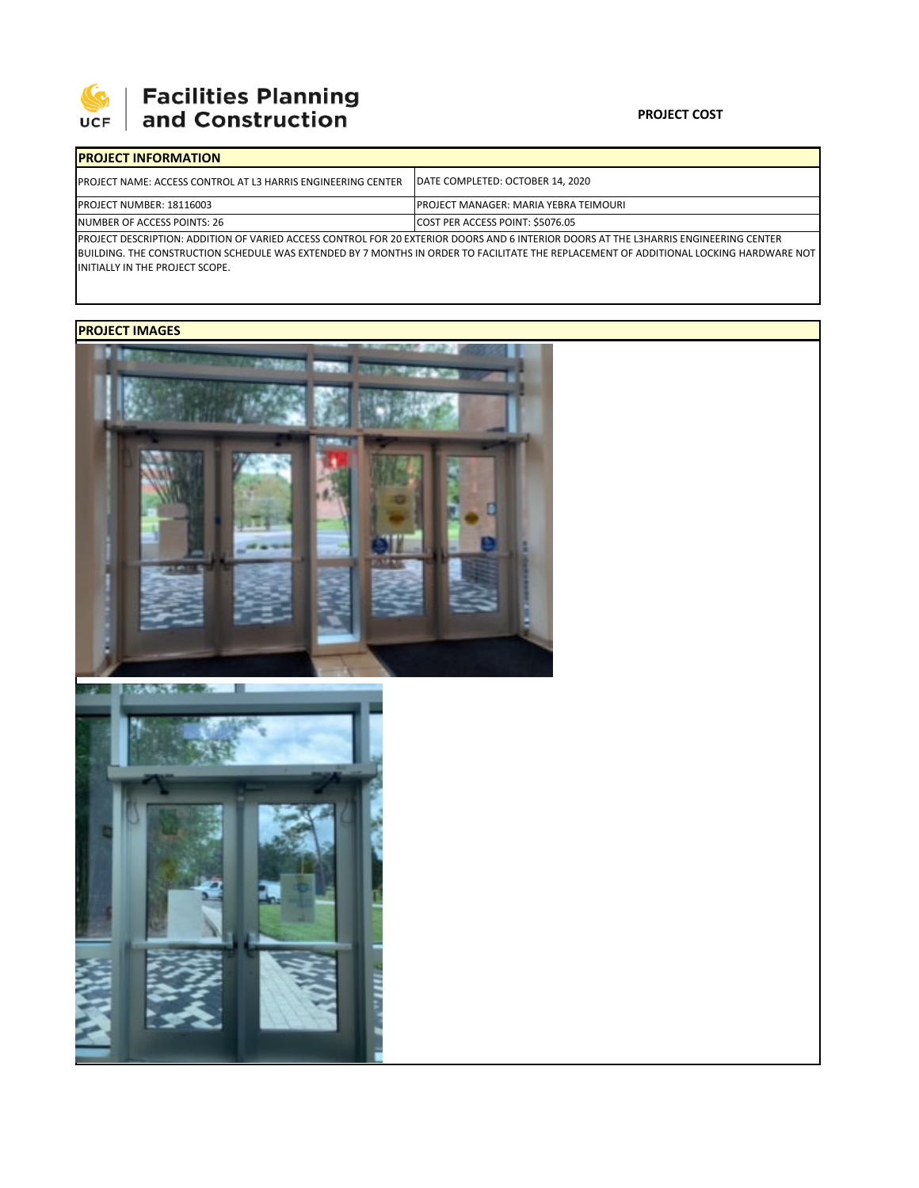

# **Facilities Planning<br>and Construction**

#### **PROJECT COST**

| <b>IPROJECT INFORMATION</b>                                                                                                           |                                              |  |  |  |
|---------------------------------------------------------------------------------------------------------------------------------------|----------------------------------------------|--|--|--|
| <b>PROJECT NAME: ACCESS CONTROL AT L3 HARRIS ENGINEERING CENTER</b>                                                                   | DATE COMPLETED: OCTOBER 14, 2020             |  |  |  |
| PROJECT NUMBER: 18116003                                                                                                              | <b>PROJECT MANAGER: MARIA YEBRA TEIMOURI</b> |  |  |  |
| NUMBER OF ACCESS POINTS: 26                                                                                                           | COST PER ACCESS POINT: \$5076.05             |  |  |  |
| IPROJECT DESCRIPTION: ADDITION OF VARIED ACCESS CONTROL FOR 20 EXTERIOR DOORS AND 6 INTERIOR DOORS AT THE L3HARRIS ENGINEERING CENTER |                                              |  |  |  |

PROJECT DESCRIPTION: ADDITION OF VARIED ACCESS CONTROL FOR 20 EXTERIOR DOORS AND 6 INTERIOR DOORS AT THE L3HARRIS ENGINEERING CENTER BUILDING. THE CONSTRUCTION SCHEDULE WAS EXTENDED BY 7 MONTHS IN ORDER TO FACILITATE THE REPLACEMENT OF ADDITIONAL LOCKING HARDWARE NOT INITIALLY IN THE PROJECT SCOPE.

## **PROJECT IMAGES**